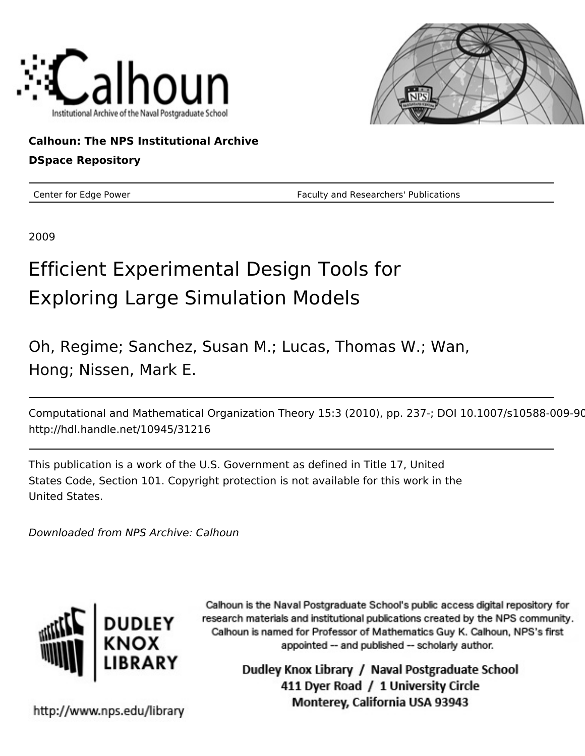



# **Calhoun: The NPS Institutional Archive**

# **DSpace Repository**

Center for Edge Power Faculty and Researchers' Publications

2009

# Efficient Experimental Design Tools for Exploring Large Simulation Models

Oh, Regime; Sanchez, Susan M.; Lucas, Thomas W.; Wan, Hong; Nissen, Mark E.

Computational and Mathematical Organization Theory 15:3 (2010), pp. 237-; DOI 10.1007/s10588-009-90 http://hdl.handle.net/10945/31216

This publication is a work of the U.S. Government as defined in Title 17, United States Code, Section 101. Copyright protection is not available for this work in the United States.

Downloaded from NPS Archive: Calhoun



Calhoun is the Naval Postgraduate School's public access digital repository for research materials and institutional publications created by the NPS community. Calhoun is named for Professor of Mathematics Guy K. Calhoun, NPS's first appointed -- and published -- scholarly author.

> Dudley Knox Library / Naval Postgraduate School 411 Dyer Road / 1 University Circle Monterey, California USA 93943

http://www.nps.edu/library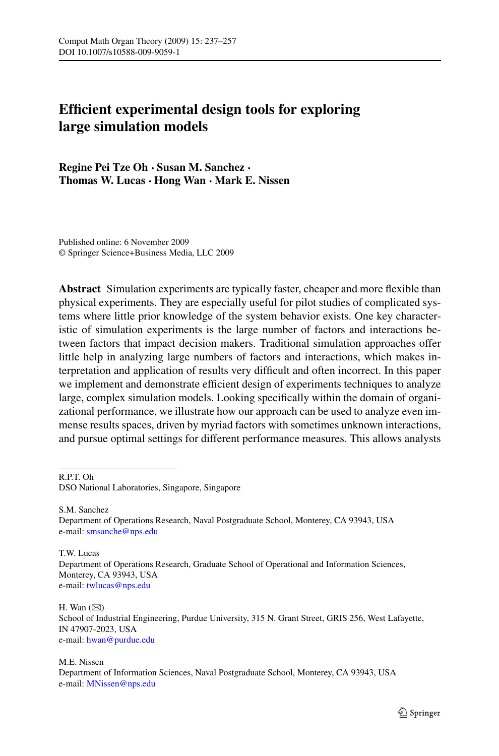# **Efficient experimental design tools for exploring large simulation models**

**Regine Pei Tze Oh · Susan M. Sanchez · Thomas W. Lucas · Hong Wan · Mark E. Nissen**

Published online: 6 November 2009 © Springer Science+Business Media, LLC 2009

**Abstract** Simulation experiments are typically faster, cheaper and more flexible than physical experiments. They are especially useful for pilot studies of complicated systems where little prior knowledge of the system behavior exists. One key characteristic of simulation experiments is the large number of factors and interactions between factors that impact decision makers. Traditional simulation approaches offer little help in analyzing large numbers of factors and interactions, which makes interpretation and application of results very difficult and often incorrect. In this paper we implement and demonstrate efficient design of experiments techniques to analyze large, complex simulation models. Looking specifically within the domain of organizational performance, we illustrate how our approach can be used to analyze even immense results spaces, driven by myriad factors with sometimes unknown interactions, and pursue optimal settings for different performance measures. This allows analysts

R.P.T. Oh DSO National Laboratories, Singapore, Singapore

S.M. Sanchez Department of Operations Research, Naval Postgraduate School, Monterey, CA 93943, USA e-mail: [smsanche@nps.edu](mailto:smsanche@nps.edu)

T.W. Lucas Department of Operations Research, Graduate School of Operational and Information Sciences, Monterey, CA 93943, USA e-mail: [twlucas@nps.edu](mailto:twlucas@nps.edu)

H. Wan  $(\boxtimes)$ School of Industrial Engineering, Purdue University, 315 N. Grant Street, GRIS 256, West Lafayette, IN 47907-2023, USA e-mail: [hwan@purdue.edu](mailto:hwan@purdue.edu)

M.E. Nissen Department of Information Sciences, Naval Postgraduate School, Monterey, CA 93943, USA e-mail: [MNissen@nps.edu](mailto:MNissen@nps.edu)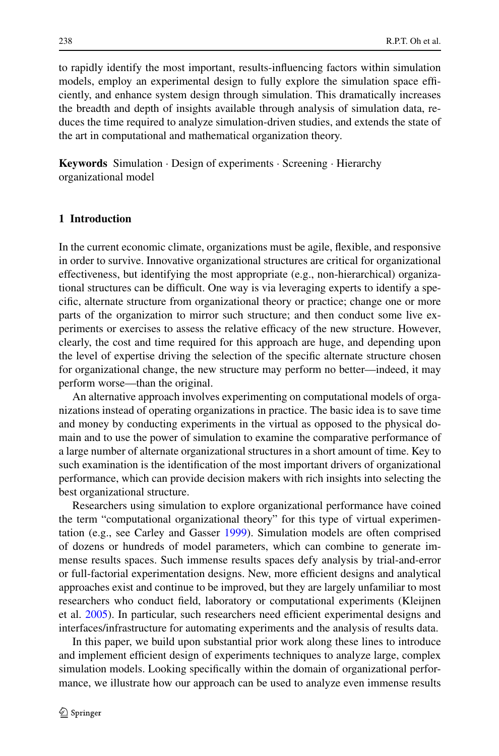to rapidly identify the most important, results-influencing factors within simulation models, employ an experimental design to fully explore the simulation space efficiently, and enhance system design through simulation. This dramatically increases the breadth and depth of insights available through analysis of simulation data, reduces the time required to analyze simulation-driven studies, and extends the state of the art in computational and mathematical organization theory.

**Keywords** Simulation · Design of experiments · Screening · Hierarchy organizational model

## **1 Introduction**

In the current economic climate, organizations must be agile, flexible, and responsive in order to survive. Innovative organizational structures are critical for organizational effectiveness, but identifying the most appropriate (e.g., non-hierarchical) organizational structures can be difficult. One way is via leveraging experts to identify a specific, alternate structure from organizational theory or practice; change one or more parts of the organization to mirror such structure; and then conduct some live experiments or exercises to assess the relative efficacy of the new structure. However, clearly, the cost and time required for this approach are huge, and depending upon the level of expertise driving the selection of the specific alternate structure chosen for organizational change, the new structure may perform no better—indeed, it may perform worse—than the original.

An alternative approach involves experimenting on computational models of organizations instead of operating organizations in practice. The basic idea is to save time and money by conducting experiments in the virtual as opposed to the physical domain and to use the power of simulation to examine the comparative performance of a large number of alternate organizational structures in a short amount of time. Key to such examination is the identification of the most important drivers of organizational performance, which can provide decision makers with rich insights into selecting the best organizational structure.

Researchers using simulation to explore organizational performance have coined the term "computational organizational theory" for this type of virtual experimentation (e.g., see Carley and Gasser [1999\)](#page-19-0). Simulation models are often comprised of dozens or hundreds of model parameters, which can combine to generate immense results spaces. Such immense results spaces defy analysis by trial-and-error or full-factorial experimentation designs. New, more efficient designs and analytical approaches exist and continue to be improved, but they are largely unfamiliar to most researchers who conduct field, laboratory or computational experiments (Kleijnen et al. [2005](#page-19-0)). In particular, such researchers need efficient experimental designs and interfaces/infrastructure for automating experiments and the analysis of results data.

In this paper, we build upon substantial prior work along these lines to introduce and implement efficient design of experiments techniques to analyze large, complex simulation models. Looking specifically within the domain of organizational performance, we illustrate how our approach can be used to analyze even immense results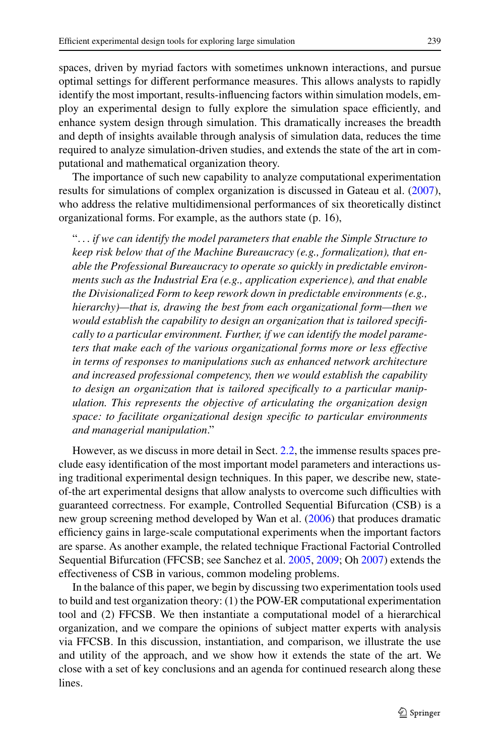spaces, driven by myriad factors with sometimes unknown interactions, and pursue optimal settings for different performance measures. This allows analysts to rapidly identify the most important, results-influencing factors within simulation models, employ an experimental design to fully explore the simulation space efficiently, and enhance system design through simulation. This dramatically increases the breadth and depth of insights available through analysis of simulation data, reduces the time required to analyze simulation-driven studies, and extends the state of the art in computational and mathematical organization theory.

The importance of such new capability to analyze computational experimentation results for simulations of complex organization is discussed in Gateau et al. ([2007\)](#page-19-0), who address the relative multidimensional performances of six theoretically distinct organizational forms. For example, as the authors state (p. 16),

"*... if we can identify the model parameters that enable the Simple Structure to keep risk below that of the Machine Bureaucracy (e.g., formalization), that enable the Professional Bureaucracy to operate so quickly in predictable environments such as the Industrial Era (e.g., application experience), and that enable the Divisionalized Form to keep rework down in predictable environments (e.g., hierarchy)—that is, drawing the best from each organizational form—then we would establish the capability to design an organization that is tailored specifically to a particular environment. Further, if we can identify the model parameters that make each of the various organizational forms more or less effective in terms of responses to manipulations such as enhanced network architecture and increased professional competency, then we would establish the capability to design an organization that is tailored specifically to a particular manipulation. This represents the objective of articulating the organization design space: to facilitate organizational design specific to particular environments and managerial manipulation*."

However, as we discuss in more detail in Sect. [2.2](#page-5-0), the immense results spaces preclude easy identification of the most important model parameters and interactions using traditional experimental design techniques. In this paper, we describe new, stateof-the art experimental designs that allow analysts to overcome such difficulties with guaranteed correctness. For example, Controlled Sequential Bifurcation (CSB) is a new group screening method developed by Wan et al. ([2006\)](#page-20-0) that produces dramatic efficiency gains in large-scale computational experiments when the important factors are sparse. As another example, the related technique Fractional Factorial Controlled Sequential Bifurcation (FFCSB; see Sanchez et al. [2005](#page-20-0), [2009;](#page-20-0) Oh [2007](#page-20-0)) extends the effectiveness of CSB in various, common modeling problems.

In the balance of this paper, we begin by discussing two experimentation tools used to build and test organization theory: (1) the POW-ER computational experimentation tool and (2) FFCSB. We then instantiate a computational model of a hierarchical organization, and we compare the opinions of subject matter experts with analysis via FFCSB. In this discussion, instantiation, and comparison, we illustrate the use and utility of the approach, and we show how it extends the state of the art. We close with a set of key conclusions and an agenda for continued research along these lines.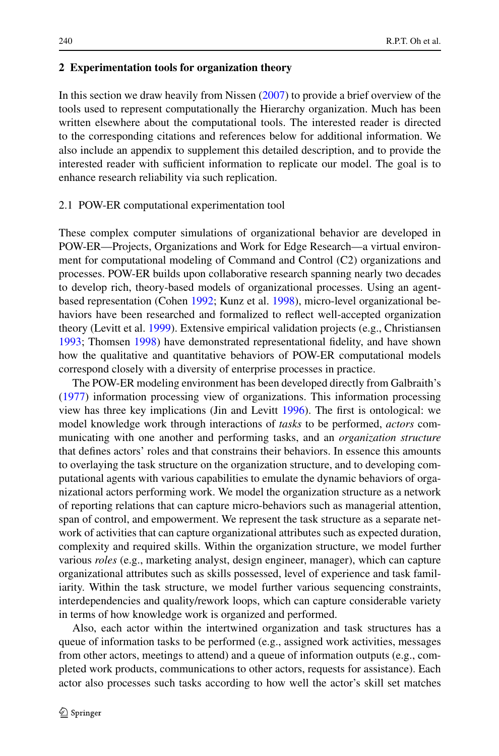## **2 Experimentation tools for organization theory**

In this section we draw heavily from Nissen [\(2007](#page-20-0)) to provide a brief overview of the tools used to represent computationally the Hierarchy organization. Much has been written elsewhere about the computational tools. The interested reader is directed to the corresponding citations and references below for additional information. We also include an appendix to supplement this detailed description, and to provide the interested reader with sufficient information to replicate our model. The goal is to enhance research reliability via such replication.

# 2.1 POW-ER computational experimentation tool

These complex computer simulations of organizational behavior are developed in POW-ER—Projects, Organizations and Work for Edge Research—a virtual environment for computational modeling of Command and Control (C2) organizations and processes. POW-ER builds upon collaborative research spanning nearly two decades to develop rich, theory-based models of organizational processes. Using an agentbased representation (Cohen [1992](#page-19-0); Kunz et al. [1998\)](#page-19-0), micro-level organizational behaviors have been researched and formalized to reflect well-accepted organization theory (Levitt et al. [1999\)](#page-20-0). Extensive empirical validation projects (e.g., Christiansen [1993;](#page-19-0) Thomsen [1998](#page-20-0)) have demonstrated representational fidelity, and have shown how the qualitative and quantitative behaviors of POW-ER computational models correspond closely with a diversity of enterprise processes in practice.

The POW-ER modeling environment has been developed directly from Galbraith's [\(1977](#page-19-0)) information processing view of organizations. This information processing view has three key implications (Jin and Levitt [1996](#page-19-0)). The first is ontological: we model knowledge work through interactions of *tasks* to be performed, *actors* communicating with one another and performing tasks, and an *organization structure* that defines actors' roles and that constrains their behaviors. In essence this amounts to overlaying the task structure on the organization structure, and to developing computational agents with various capabilities to emulate the dynamic behaviors of organizational actors performing work. We model the organization structure as a network of reporting relations that can capture micro-behaviors such as managerial attention, span of control, and empowerment. We represent the task structure as a separate network of activities that can capture organizational attributes such as expected duration, complexity and required skills. Within the organization structure, we model further various *roles* (e.g., marketing analyst, design engineer, manager), which can capture organizational attributes such as skills possessed, level of experience and task familiarity. Within the task structure, we model further various sequencing constraints, interdependencies and quality/rework loops, which can capture considerable variety in terms of how knowledge work is organized and performed.

Also, each actor within the intertwined organization and task structures has a queue of information tasks to be performed (e.g., assigned work activities, messages from other actors, meetings to attend) and a queue of information outputs (e.g., completed work products, communications to other actors, requests for assistance). Each actor also processes such tasks according to how well the actor's skill set matches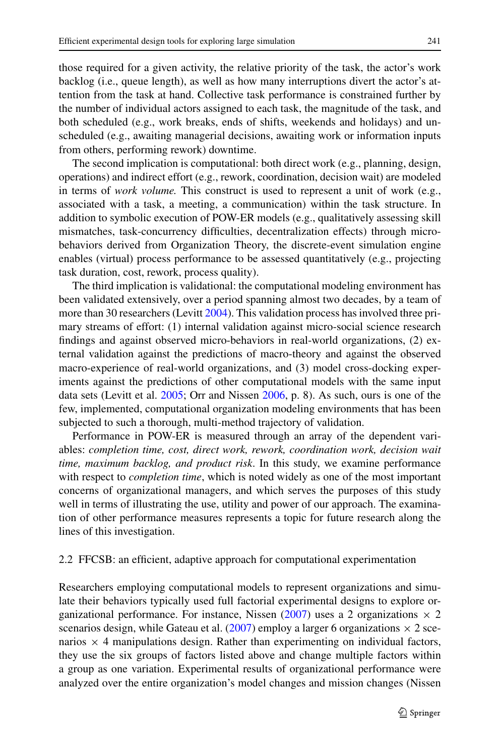<span id="page-5-0"></span>those required for a given activity, the relative priority of the task, the actor's work backlog (i.e., queue length), as well as how many interruptions divert the actor's attention from the task at hand. Collective task performance is constrained further by the number of individual actors assigned to each task, the magnitude of the task, and both scheduled (e.g., work breaks, ends of shifts, weekends and holidays) and unscheduled (e.g., awaiting managerial decisions, awaiting work or information inputs from others, performing rework) downtime.

The second implication is computational: both direct work (e.g., planning, design, operations) and indirect effort (e.g., rework, coordination, decision wait) are modeled in terms of *work volume.* This construct is used to represent a unit of work (e.g., associated with a task, a meeting, a communication) within the task structure. In addition to symbolic execution of POW-ER models (e.g., qualitatively assessing skill mismatches, task-concurrency difficulties, decentralization effects) through microbehaviors derived from Organization Theory, the discrete-event simulation engine enables (virtual) process performance to be assessed quantitatively (e.g., projecting task duration, cost, rework, process quality).

The third implication is validational: the computational modeling environment has been validated extensively, over a period spanning almost two decades, by a team of more than 30 researchers (Levitt [2004\)](#page-19-0). This validation process has involved three primary streams of effort: (1) internal validation against micro-social science research findings and against observed micro-behaviors in real-world organizations, (2) external validation against the predictions of macro-theory and against the observed macro-experience of real-world organizations, and (3) model cross-docking experiments against the predictions of other computational models with the same input data sets (Levitt et al. [2005;](#page-19-0) Orr and Nissen [2006](#page-20-0), p. 8). As such, ours is one of the few, implemented, computational organization modeling environments that has been subjected to such a thorough, multi-method trajectory of validation.

Performance in POW-ER is measured through an array of the dependent variables: *completion time, cost, direct work, rework, coordination work, decision wait time, maximum backlog, and product risk*. In this study, we examine performance with respect to *completion time*, which is noted widely as one of the most important concerns of organizational managers, and which serves the purposes of this study well in terms of illustrating the use, utility and power of our approach. The examination of other performance measures represents a topic for future research along the lines of this investigation.

# 2.2 FFCSB: an efficient, adaptive approach for computational experimentation

Researchers employing computational models to represent organizations and simulate their behaviors typically used full factorial experimental designs to explore or-ganizational performance. For instance, Nissen ([2007\)](#page-20-0) uses a 2 organizations  $\times$  2 scenarios design, while Gateau et al.  $(2007)$  $(2007)$  employ a larger 6 organizations  $\times$  2 scenarios  $\times$  4 manipulations design. Rather than experimenting on individual factors, they use the six groups of factors listed above and change multiple factors within a group as one variation. Experimental results of organizational performance were analyzed over the entire organization's model changes and mission changes (Nissen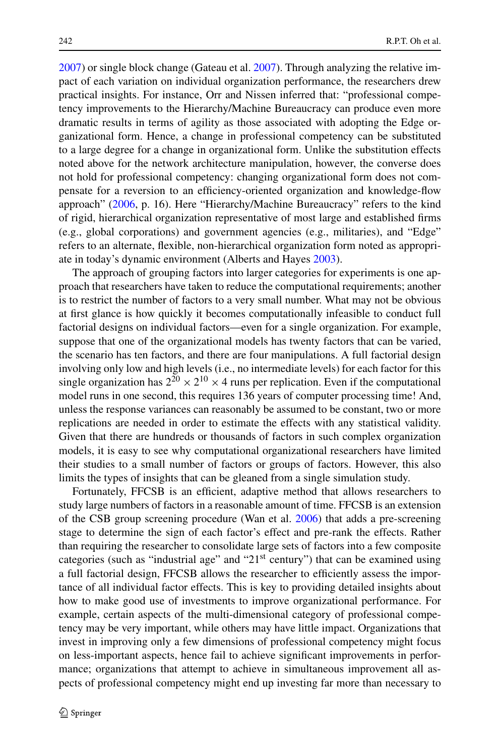[2007\)](#page-20-0) or single block change (Gateau et al. [2007](#page-19-0)). Through analyzing the relative impact of each variation on individual organization performance, the researchers drew practical insights. For instance, Orr and Nissen inferred that: "professional competency improvements to the Hierarchy/Machine Bureaucracy can produce even more dramatic results in terms of agility as those associated with adopting the Edge organizational form. Hence, a change in professional competency can be substituted to a large degree for a change in organizational form. Unlike the substitution effects noted above for the network architecture manipulation, however, the converse does not hold for professional competency: changing organizational form does not compensate for a reversion to an efficiency-oriented organization and knowledge-flow approach" [\(2006](#page-20-0), p. 16). Here "Hierarchy/Machine Bureaucracy" refers to the kind of rigid, hierarchical organization representative of most large and established firms (e.g., global corporations) and government agencies (e.g., militaries), and "Edge" refers to an alternate, flexible, non-hierarchical organization form noted as appropriate in today's dynamic environment (Alberts and Hayes [2003](#page-19-0)).

The approach of grouping factors into larger categories for experiments is one approach that researchers have taken to reduce the computational requirements; another is to restrict the number of factors to a very small number. What may not be obvious at first glance is how quickly it becomes computationally infeasible to conduct full factorial designs on individual factors—even for a single organization. For example, suppose that one of the organizational models has twenty factors that can be varied, the scenario has ten factors, and there are four manipulations. A full factorial design involving only low and high levels (i.e., no intermediate levels) for each factor for this single organization has  $2^{20} \times 2^{10} \times 4$  runs per replication. Even if the computational model runs in one second, this requires 136 years of computer processing time! And, unless the response variances can reasonably be assumed to be constant, two or more replications are needed in order to estimate the effects with any statistical validity. Given that there are hundreds or thousands of factors in such complex organization models, it is easy to see why computational organizational researchers have limited their studies to a small number of factors or groups of factors. However, this also limits the types of insights that can be gleaned from a single simulation study.

Fortunately, FFCSB is an efficient, adaptive method that allows researchers to study large numbers of factors in a reasonable amount of time. FFCSB is an extension of the CSB group screening procedure (Wan et al. [2006](#page-20-0)) that adds a pre-screening stage to determine the sign of each factor's effect and pre-rank the effects. Rather than requiring the researcher to consolidate large sets of factors into a few composite categories (such as "industrial age" and "21st century") that can be examined using a full factorial design, FFCSB allows the researcher to efficiently assess the importance of all individual factor effects. This is key to providing detailed insights about how to make good use of investments to improve organizational performance. For example, certain aspects of the multi-dimensional category of professional competency may be very important, while others may have little impact. Organizations that invest in improving only a few dimensions of professional competency might focus on less-important aspects, hence fail to achieve significant improvements in performance; organizations that attempt to achieve in simultaneous improvement all aspects of professional competency might end up investing far more than necessary to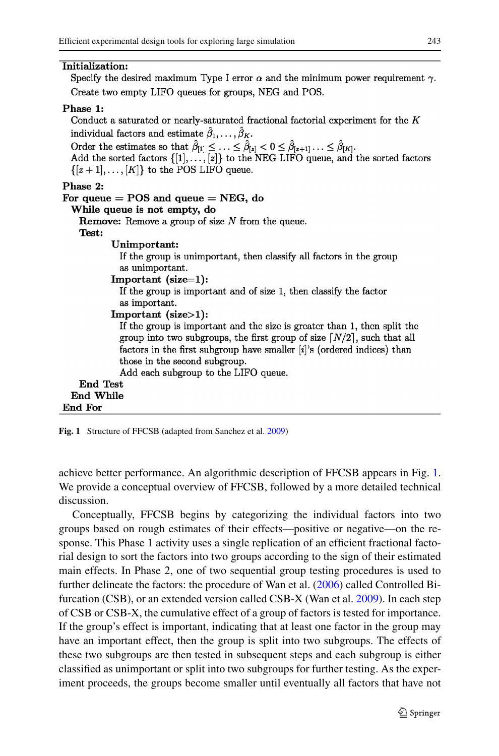# **Initialization:**

Specify the desired maximum Type I error  $\alpha$  and the minimum power requirement  $\gamma$ . Create two empty LIFO queues for groups, NEG and POS.

# Phase 1:

| Conduct a saturated or nearly-saturated fractional factorial experiment for the $K$                                                                                                                                                                                                                                      |
|--------------------------------------------------------------------------------------------------------------------------------------------------------------------------------------------------------------------------------------------------------------------------------------------------------------------------|
| individual factors and estimate $\hat{\beta}_1, \ldots, \hat{\beta}_K$ .                                                                                                                                                                                                                                                 |
| Order the estimates so that $\hat{\beta}_{[1]} \leq \ldots \leq \hat{\beta}_{[z]} < 0 \leq \hat{\beta}_{[z+1]} \ldots \leq \hat{\beta}_{[K]}$ .<br>Add the sorted factors $\{[1], \ldots, [z]\}$ to the NEG LIFO queue, and the sorted factors<br>$\{[z+1], \ldots, [K]\}\$ to the POS LIFO queue.                       |
| Phase 2:                                                                                                                                                                                                                                                                                                                 |
| For queue $=$ POS and queue $=$ NEG, do<br>While queue is not empty, do                                                                                                                                                                                                                                                  |
| <b>Remove:</b> Remove a group of size $N$ from the queue.                                                                                                                                                                                                                                                                |
| Test:                                                                                                                                                                                                                                                                                                                    |
| Unimportant:                                                                                                                                                                                                                                                                                                             |
| If the group is unimportant, then classify all factors in the group<br>as unimportant.                                                                                                                                                                                                                                   |
| Important (size=1):                                                                                                                                                                                                                                                                                                      |
| If the group is important and of size 1, then classify the factor<br>as important.                                                                                                                                                                                                                                       |
| Important (size>1):                                                                                                                                                                                                                                                                                                      |
| If the group is important and the size is greater than 1, then split the<br>group into two subgroups, the first group of size $\lceil N/2 \rceil$ , such that all<br>factors in the first subgroup have smaller $[i]$ 's (ordered indices) than<br>those in the second subgroup.<br>Add each subgroup to the LIFO queue. |
| <b>End Test</b>                                                                                                                                                                                                                                                                                                          |
| <b>End While</b>                                                                                                                                                                                                                                                                                                         |
| End For                                                                                                                                                                                                                                                                                                                  |
|                                                                                                                                                                                                                                                                                                                          |

**Fig. 1** Structure of FFCSB (adapted from Sanchez et al. [2009](#page-20-0))

achieve better performance. An algorithmic description of FFCSB appears in Fig. 1. We provide a conceptual overview of FFCSB, followed by a more detailed technical discussion.

Conceptually, FFCSB begins by categorizing the individual factors into two groups based on rough estimates of their effects—positive or negative—on the response. This Phase 1 activity uses a single replication of an efficient fractional factorial design to sort the factors into two groups according to the sign of their estimated main effects. In Phase 2, one of two sequential group testing procedures is used to further delineate the factors: the procedure of Wan et al. [\(2006\)](#page-20-0) called Controlled Bifurcation (CSB), or an extended version called CSB-X (Wan et al. [2009\)](#page-20-0). In each step of CSB or CSB-X, the cumulative effect of a group of factors is tested for importance. If the group's effect is important, indicating that at least one factor in the group may have an important effect, then the group is split into two subgroups. The effects of these two subgroups are then tested in subsequent steps and each subgroup is either classified as unimportant or split into two subgroups for further testing. As the experiment proceeds, the groups become smaller until eventually all factors that have not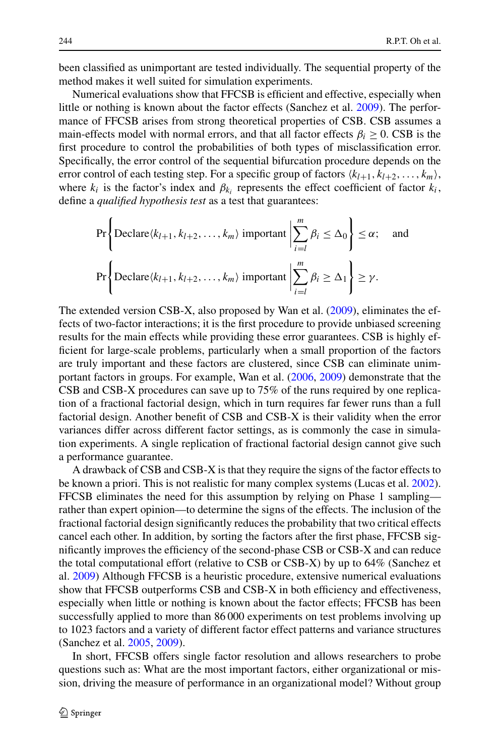been classified as unimportant are tested individually. The sequential property of the method makes it well suited for simulation experiments.

Numerical evaluations show that FFCSB is efficient and effective, especially when little or nothing is known about the factor effects (Sanchez et al. [2009](#page-20-0)). The performance of FFCSB arises from strong theoretical properties of CSB. CSB assumes a main-effects model with normal errors, and that all factor effects  $\beta_i \geq 0$ . CSB is the first procedure to control the probabilities of both types of misclassification error. Specifically, the error control of the sequential bifurcation procedure depends on the error control of each testing step. For a specific group of factors  $\langle k_{l+1}, k_{l+2}, \ldots, k_m \rangle$ , where  $k_i$  is the factor's index and  $\beta_k$  represents the effect coefficient of factor  $k_i$ , define a *qualified hypothesis test* as a test that guarantees:

$$
\Pr\left\{\text{Declare}\langle k_{l+1}, k_{l+2}, \dots, k_m \rangle \text{ important } \left| \sum_{i=l}^m \beta_i \le \Delta_0 \right. \right\} \le \alpha; \quad \text{and}
$$
\n
$$
\Pr\left\{\text{Declare}\langle k_{l+1}, k_{l+2}, \dots, k_m \rangle \text{ important } \left| \sum_{i=l}^m \beta_i \ge \Delta_1 \right. \right\} \ge \gamma.
$$

The extended version CSB-X, also proposed by Wan et al. ([2009\)](#page-20-0), eliminates the effects of two-factor interactions; it is the first procedure to provide unbiased screening results for the main effects while providing these error guarantees. CSB is highly efficient for large-scale problems, particularly when a small proportion of the factors are truly important and these factors are clustered, since CSB can eliminate unimportant factors in groups. For example, Wan et al. [\(2006](#page-20-0), [2009](#page-20-0)) demonstrate that the CSB and CSB-X procedures can save up to 75% of the runs required by one replication of a fractional factorial design, which in turn requires far fewer runs than a full factorial design. Another benefit of CSB and CSB-X is their validity when the error variances differ across different factor settings, as is commonly the case in simulation experiments. A single replication of fractional factorial design cannot give such a performance guarantee.

A drawback of CSB and CSB-X is that they require the signs of the factor effects to be known a priori. This is not realistic for many complex systems (Lucas et al. [2002\)](#page-20-0). FFCSB eliminates the need for this assumption by relying on Phase 1 sampling rather than expert opinion—to determine the signs of the effects. The inclusion of the fractional factorial design significantly reduces the probability that two critical effects cancel each other. In addition, by sorting the factors after the first phase, FFCSB significantly improves the efficiency of the second-phase CSB or CSB-X and can reduce the total computational effort (relative to CSB or CSB-X) by up to 64% (Sanchez et al. [2009](#page-20-0)) Although FFCSB is a heuristic procedure, extensive numerical evaluations show that FFCSB outperforms CSB and CSB-X in both efficiency and effectiveness, especially when little or nothing is known about the factor effects; FFCSB has been successfully applied to more than 86 000 experiments on test problems involving up to 1023 factors and a variety of different factor effect patterns and variance structures (Sanchez et al. [2005,](#page-20-0) [2009\)](#page-20-0).

In short, FFCSB offers single factor resolution and allows researchers to probe questions such as: What are the most important factors, either organizational or mission, driving the measure of performance in an organizational model? Without group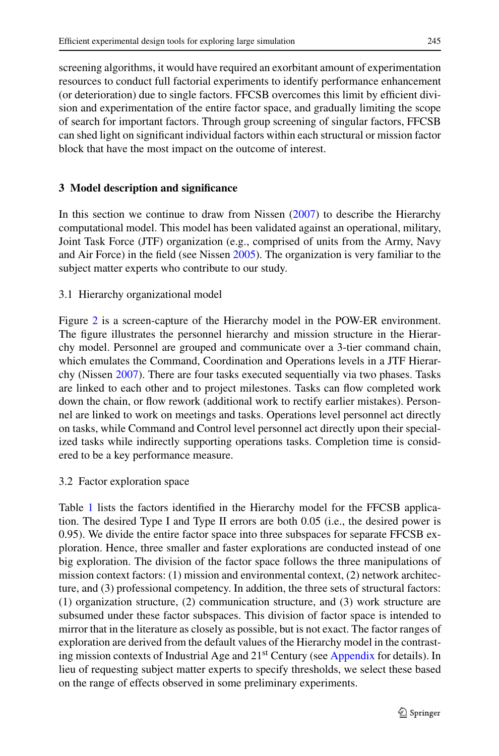screening algorithms, it would have required an exorbitant amount of experimentation resources to conduct full factorial experiments to identify performance enhancement (or deterioration) due to single factors. FFCSB overcomes this limit by efficient division and experimentation of the entire factor space, and gradually limiting the scope of search for important factors. Through group screening of singular factors, FFCSB can shed light on significant individual factors within each structural or mission factor block that have the most impact on the outcome of interest.

# **3 Model description and significance**

In this section we continue to draw from Nissen [\(2007](#page-20-0)) to describe the Hierarchy computational model. This model has been validated against an operational, military, Joint Task Force (JTF) organization (e.g., comprised of units from the Army, Navy and Air Force) in the field (see Nissen [2005](#page-20-0)). The organization is very familiar to the subject matter experts who contribute to our study.

# 3.1 Hierarchy organizational model

Figure [2](#page-10-0) is a screen-capture of the Hierarchy model in the POW-ER environment. The figure illustrates the personnel hierarchy and mission structure in the Hierarchy model. Personnel are grouped and communicate over a 3-tier command chain, which emulates the Command, Coordination and Operations levels in a JTF Hierarchy (Nissen [2007\)](#page-20-0). There are four tasks executed sequentially via two phases. Tasks are linked to each other and to project milestones. Tasks can flow completed work down the chain, or flow rework (additional work to rectify earlier mistakes). Personnel are linked to work on meetings and tasks. Operations level personnel act directly on tasks, while Command and Control level personnel act directly upon their specialized tasks while indirectly supporting operations tasks. Completion time is considered to be a key performance measure.

# 3.2 Factor exploration space

Table [1](#page-11-0) lists the factors identified in the Hierarchy model for the FFCSB application. The desired Type I and Type II errors are both 0.05 (i.e., the desired power is 0.95). We divide the entire factor space into three subspaces for separate FFCSB exploration. Hence, three smaller and faster explorations are conducted instead of one big exploration. The division of the factor space follows the three manipulations of mission context factors: (1) mission and environmental context, (2) network architecture, and (3) professional competency. In addition, the three sets of structural factors: (1) organization structure, (2) communication structure, and (3) work structure are subsumed under these factor subspaces. This division of factor space is intended to mirror that in the literature as closely as possible, but is not exact. The factor ranges of exploration are derived from the default values of the Hierarchy model in the contrasting mission contexts of Industrial Age and  $21<sup>st</sup>$  Century (see [Appendix](#page-17-0) for details). In lieu of requesting subject matter experts to specify thresholds, we select these based on the range of effects observed in some preliminary experiments.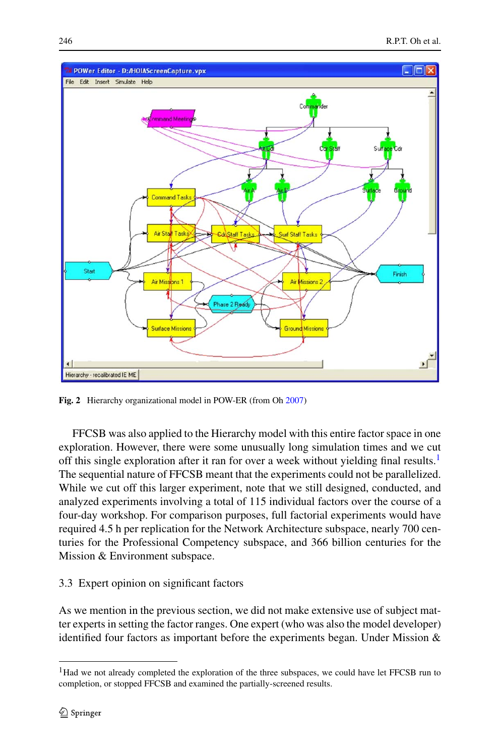<span id="page-10-0"></span>

**Fig. 2** Hierarchy organizational model in POW-ER (from Oh [2007\)](#page-20-0)

FFCSB was also applied to the Hierarchy model with this entire factor space in one exploration. However, there were some unusually long simulation times and we cut off this single exploration after it ran for over a week without yielding final results.<sup>1</sup> The sequential nature of FFCSB meant that the experiments could not be parallelized. While we cut off this larger experiment, note that we still designed, conducted, and analyzed experiments involving a total of 115 individual factors over the course of a four-day workshop. For comparison purposes, full factorial experiments would have required 4.5 h per replication for the Network Architecture subspace, nearly 700 centuries for the Professional Competency subspace, and 366 billion centuries for the Mission & Environment subspace.

# 3.3 Expert opinion on significant factors

As we mention in the previous section, we did not make extensive use of subject matter experts in setting the factor ranges. One expert (who was also the model developer) identified four factors as important before the experiments began. Under Mission &

<sup>&</sup>lt;sup>1</sup>Had we not already completed the exploration of the three subspaces, we could have let FFCSB run to completion, or stopped FFCSB and examined the partially-screened results.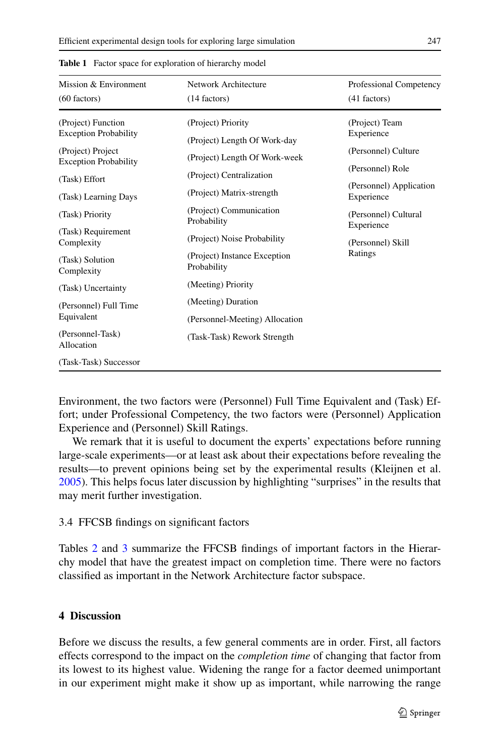| Mission & Environment<br>(60 factors)                                                                                                                                                                                                                                                   | Network Architecture<br>(14 factors)                                                                                                                                                                                                                                                                             | Professional Competency<br>(41 factors)                                                                                                                                                |
|-----------------------------------------------------------------------------------------------------------------------------------------------------------------------------------------------------------------------------------------------------------------------------------------|------------------------------------------------------------------------------------------------------------------------------------------------------------------------------------------------------------------------------------------------------------------------------------------------------------------|----------------------------------------------------------------------------------------------------------------------------------------------------------------------------------------|
| (Project) Function<br><b>Exception Probability</b><br>(Project) Project<br><b>Exception Probability</b><br>(Task) Effort<br>(Task) Learning Days<br>(Task) Priority<br>(Task) Requirement<br>Complexity<br>(Task) Solution<br>Complexity<br>(Task) Uncertainty<br>(Personnel) Full Time | (Project) Priority<br>(Project) Length Of Work-day<br>(Project) Length Of Work-week<br>(Project) Centralization<br>(Project) Matrix-strength<br>(Project) Communication<br>Probability<br>(Project) Noise Probability<br>(Project) Instance Exception<br>Probability<br>(Meeting) Priority<br>(Meeting) Duration | (Project) Team<br>Experience<br>(Personnel) Culture<br>(Personnel) Role<br>(Personnel) Application<br>Experience<br>(Personnel) Cultural<br>Experience<br>(Personnel) Skill<br>Ratings |
| Equivalent<br>(Personnel-Task)<br>Allocation                                                                                                                                                                                                                                            | (Personnel-Meeting) Allocation<br>(Task-Task) Rework Strength                                                                                                                                                                                                                                                    |                                                                                                                                                                                        |
| (Task-Task) Successor                                                                                                                                                                                                                                                                   |                                                                                                                                                                                                                                                                                                                  |                                                                                                                                                                                        |

<span id="page-11-0"></span>**Table 1** Factor space for exploration of hierarchy model

Environment, the two factors were (Personnel) Full Time Equivalent and (Task) Effort; under Professional Competency, the two factors were (Personnel) Application Experience and (Personnel) Skill Ratings.

We remark that it is useful to document the experts' expectations before running large-scale experiments—or at least ask about their expectations before revealing the results—to prevent opinions being set by the experimental results (Kleijnen et al. [2005\)](#page-19-0). This helps focus later discussion by highlighting "surprises" in the results that may merit further investigation.

#### 3.4 FFCSB findings on significant factors

Tables [2](#page-12-0) and [3](#page-12-0) summarize the FFCSB findings of important factors in the Hierarchy model that have the greatest impact on completion time. There were no factors classified as important in the Network Architecture factor subspace.

# **4 Discussion**

Before we discuss the results, a few general comments are in order. First, all factors effects correspond to the impact on the *completion time* of changing that factor from its lowest to its highest value. Widening the range for a factor deemed unimportant in our experiment might make it show up as important, while narrowing the range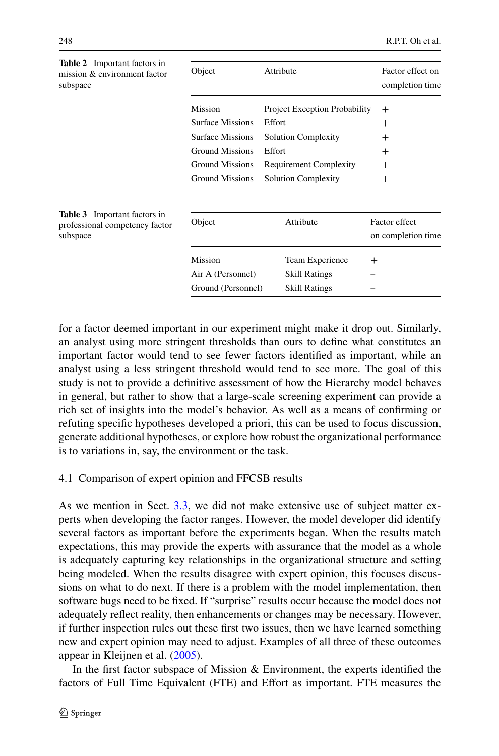<span id="page-12-0"></span>

| <b>Table 2</b> Important factors in<br>mission & environment factor<br>subspace | Object<br>Attribute     |                               | Factor effect on<br>completion time |  |
|---------------------------------------------------------------------------------|-------------------------|-------------------------------|-------------------------------------|--|
|                                                                                 | Mission                 | Project Exception Probability | $^{+}$                              |  |
|                                                                                 | <b>Surface Missions</b> | Effort                        | $\,+\,$                             |  |
|                                                                                 | <b>Surface Missions</b> | <b>Solution Complexity</b>    | $^{+}$                              |  |
|                                                                                 | <b>Ground Missions</b>  | Effort                        | $^{+}$                              |  |
|                                                                                 | <b>Ground Missions</b>  | <b>Requirement Complexity</b> | $^{+}$                              |  |
|                                                                                 | <b>Ground Missions</b>  | <b>Solution Complexity</b>    | $^{+}$                              |  |
| <b>Table 3</b> Important factors in                                             |                         |                               |                                     |  |
| professional competency factor<br>subspace                                      | Object                  | Attribute                     | Factor effect<br>on completion time |  |
|                                                                                 | Mission                 | Team Experience               | $^{+}$                              |  |
|                                                                                 | Air A (Personnel)       | <b>Skill Ratings</b>          |                                     |  |
|                                                                                 | Ground (Personnel)      | <b>Skill Ratings</b>          |                                     |  |

for a factor deemed important in our experiment might make it drop out. Similarly, an analyst using more stringent thresholds than ours to define what constitutes an important factor would tend to see fewer factors identified as important, while an analyst using a less stringent threshold would tend to see more. The goal of this study is not to provide a definitive assessment of how the Hierarchy model behaves in general, but rather to show that a large-scale screening experiment can provide a rich set of insights into the model's behavior. As well as a means of confirming or refuting specific hypotheses developed a priori, this can be used to focus discussion, generate additional hypotheses, or explore how robust the organizational performance is to variations in, say, the environment or the task.

# 4.1 Comparison of expert opinion and FFCSB results

As we mention in Sect. [3.3,](#page-10-0) we did not make extensive use of subject matter experts when developing the factor ranges. However, the model developer did identify several factors as important before the experiments began. When the results match expectations, this may provide the experts with assurance that the model as a whole is adequately capturing key relationships in the organizational structure and setting being modeled. When the results disagree with expert opinion, this focuses discussions on what to do next. If there is a problem with the model implementation, then software bugs need to be fixed. If "surprise" results occur because the model does not adequately reflect reality, then enhancements or changes may be necessary. However, if further inspection rules out these first two issues, then we have learned something new and expert opinion may need to adjust. Examples of all three of these outcomes appear in Kleijnen et al. [\(2005\)](#page-19-0).

In the first factor subspace of Mission & Environment, the experts identified the factors of Full Time Equivalent (FTE) and Effort as important. FTE measures the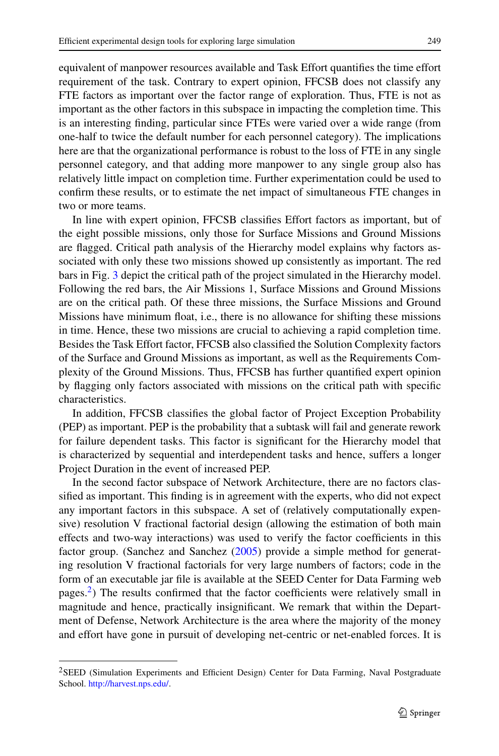equivalent of manpower resources available and Task Effort quantifies the time effort requirement of the task. Contrary to expert opinion, FFCSB does not classify any FTE factors as important over the factor range of exploration. Thus, FTE is not as important as the other factors in this subspace in impacting the completion time. This is an interesting finding, particular since FTEs were varied over a wide range (from one-half to twice the default number for each personnel category). The implications here are that the organizational performance is robust to the loss of FTE in any single personnel category, and that adding more manpower to any single group also has relatively little impact on completion time. Further experimentation could be used to confirm these results, or to estimate the net impact of simultaneous FTE changes in two or more teams.

In line with expert opinion, FFCSB classifies Effort factors as important, but of the eight possible missions, only those for Surface Missions and Ground Missions are flagged. Critical path analysis of the Hierarchy model explains why factors associated with only these two missions showed up consistently as important. The red bars in Fig. [3](#page-14-0) depict the critical path of the project simulated in the Hierarchy model. Following the red bars, the Air Missions 1, Surface Missions and Ground Missions are on the critical path. Of these three missions, the Surface Missions and Ground Missions have minimum float, i.e., there is no allowance for shifting these missions in time. Hence, these two missions are crucial to achieving a rapid completion time. Besides the Task Effort factor, FFCSB also classified the Solution Complexity factors of the Surface and Ground Missions as important, as well as the Requirements Complexity of the Ground Missions. Thus, FFCSB has further quantified expert opinion by flagging only factors associated with missions on the critical path with specific characteristics.

In addition, FFCSB classifies the global factor of Project Exception Probability (PEP) as important. PEP is the probability that a subtask will fail and generate rework for failure dependent tasks. This factor is significant for the Hierarchy model that is characterized by sequential and interdependent tasks and hence, suffers a longer Project Duration in the event of increased PEP.

In the second factor subspace of Network Architecture, there are no factors classified as important. This finding is in agreement with the experts, who did not expect any important factors in this subspace. A set of (relatively computationally expensive) resolution V fractional factorial design (allowing the estimation of both main effects and two-way interactions) was used to verify the factor coefficients in this factor group. (Sanchez and Sanchez [\(2005](#page-20-0)) provide a simple method for generating resolution V fractional factorials for very large numbers of factors; code in the form of an executable jar file is available at the SEED Center for Data Farming web pages.2) The results confirmed that the factor coefficients were relatively small in magnitude and hence, practically insignificant. We remark that within the Department of Defense, Network Architecture is the area where the majority of the money and effort have gone in pursuit of developing net-centric or net-enabled forces. It is

<sup>&</sup>lt;sup>2</sup>SEED (Simulation Experiments and Efficient Design) Center for Data Farming, Naval Postgraduate School. [http://harvest.nps.edu/.](http://harvest.nps.edu/)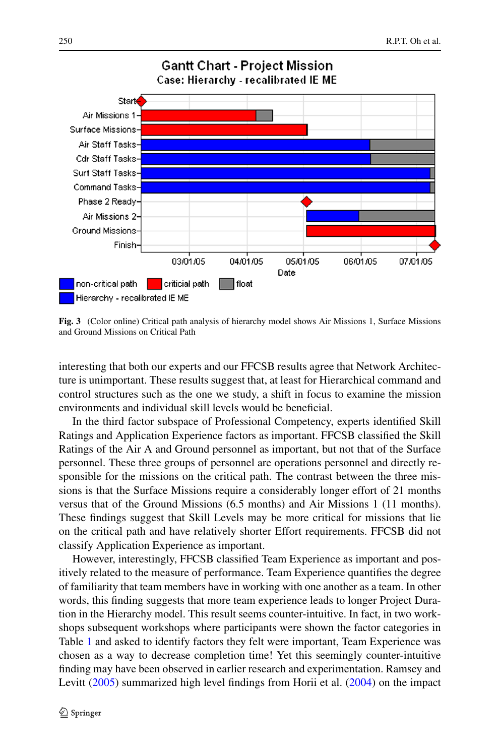<span id="page-14-0"></span>

**Fig. 3** (Color online) Critical path analysis of hierarchy model shows Air Missions 1, Surface Missions and Ground Missions on Critical Path

interesting that both our experts and our FFCSB results agree that Network Architecture is unimportant. These results suggest that, at least for Hierarchical command and control structures such as the one we study, a shift in focus to examine the mission environments and individual skill levels would be beneficial.

In the third factor subspace of Professional Competency, experts identified Skill Ratings and Application Experience factors as important. FFCSB classified the Skill Ratings of the Air A and Ground personnel as important, but not that of the Surface personnel. These three groups of personnel are operations personnel and directly responsible for the missions on the critical path. The contrast between the three missions is that the Surface Missions require a considerably longer effort of 21 months versus that of the Ground Missions (6.5 months) and Air Missions 1 (11 months). These findings suggest that Skill Levels may be more critical for missions that lie on the critical path and have relatively shorter Effort requirements. FFCSB did not classify Application Experience as important.

However, interestingly, FFCSB classified Team Experience as important and positively related to the measure of performance. Team Experience quantifies the degree of familiarity that team members have in working with one another as a team. In other words, this finding suggests that more team experience leads to longer Project Duration in the Hierarchy model. This result seems counter-intuitive. In fact, in two workshops subsequent workshops where participants were shown the factor categories in Table [1](#page-11-0) and asked to identify factors they felt were important, Team Experience was chosen as a way to decrease completion time! Yet this seemingly counter-intuitive finding may have been observed in earlier research and experimentation. Ramsey and Levitt [\(2005](#page-20-0)) summarized high level findings from Horii et al. ([2004\)](#page-19-0) on the impact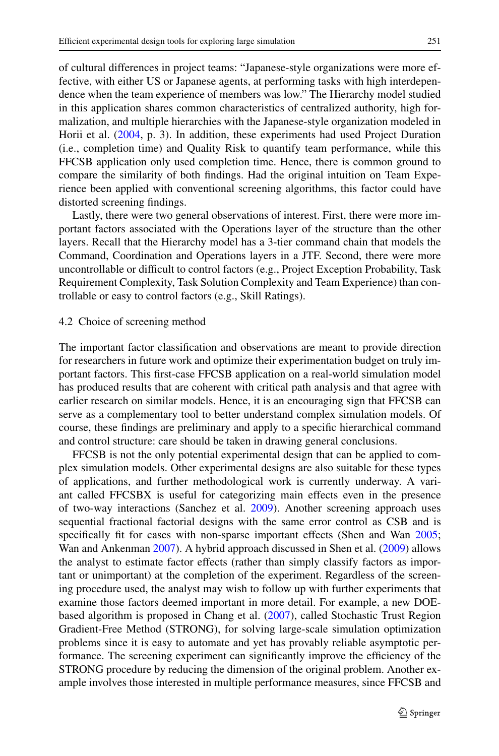of cultural differences in project teams: "Japanese-style organizations were more effective, with either US or Japanese agents, at performing tasks with high interdependence when the team experience of members was low." The Hierarchy model studied in this application shares common characteristics of centralized authority, high formalization, and multiple hierarchies with the Japanese-style organization modeled in Horii et al. ([2004,](#page-19-0) p. 3). In addition, these experiments had used Project Duration (i.e., completion time) and Quality Risk to quantify team performance, while this FFCSB application only used completion time. Hence, there is common ground to compare the similarity of both findings. Had the original intuition on Team Experience been applied with conventional screening algorithms, this factor could have distorted screening findings.

Lastly, there were two general observations of interest. First, there were more important factors associated with the Operations layer of the structure than the other layers. Recall that the Hierarchy model has a 3-tier command chain that models the Command, Coordination and Operations layers in a JTF. Second, there were more uncontrollable or difficult to control factors (e.g., Project Exception Probability, Task Requirement Complexity, Task Solution Complexity and Team Experience) than controllable or easy to control factors (e.g., Skill Ratings).

### 4.2 Choice of screening method

The important factor classification and observations are meant to provide direction for researchers in future work and optimize their experimentation budget on truly important factors. This first-case FFCSB application on a real-world simulation model has produced results that are coherent with critical path analysis and that agree with earlier research on similar models. Hence, it is an encouraging sign that FFCSB can serve as a complementary tool to better understand complex simulation models. Of course, these findings are preliminary and apply to a specific hierarchical command and control structure: care should be taken in drawing general conclusions.

FFCSB is not the only potential experimental design that can be applied to complex simulation models. Other experimental designs are also suitable for these types of applications, and further methodological work is currently underway. A variant called FFCSBX is useful for categorizing main effects even in the presence of two-way interactions (Sanchez et al. [2009\)](#page-20-0). Another screening approach uses sequential fractional factorial designs with the same error control as CSB and is specifically fit for cases with non-sparse important effects (Shen and Wan [2005;](#page-20-0) Wan and Ankenman [2007\)](#page-20-0). A hybrid approach discussed in Shen et al. [\(2009](#page-20-0)) allows the analyst to estimate factor effects (rather than simply classify factors as important or unimportant) at the completion of the experiment. Regardless of the screening procedure used, the analyst may wish to follow up with further experiments that examine those factors deemed important in more detail. For example, a new DOEbased algorithm is proposed in Chang et al. ([2007\)](#page-19-0), called Stochastic Trust Region Gradient-Free Method (STRONG), for solving large-scale simulation optimization problems since it is easy to automate and yet has provably reliable asymptotic performance. The screening experiment can significantly improve the efficiency of the STRONG procedure by reducing the dimension of the original problem. Another example involves those interested in multiple performance measures, since FFCSB and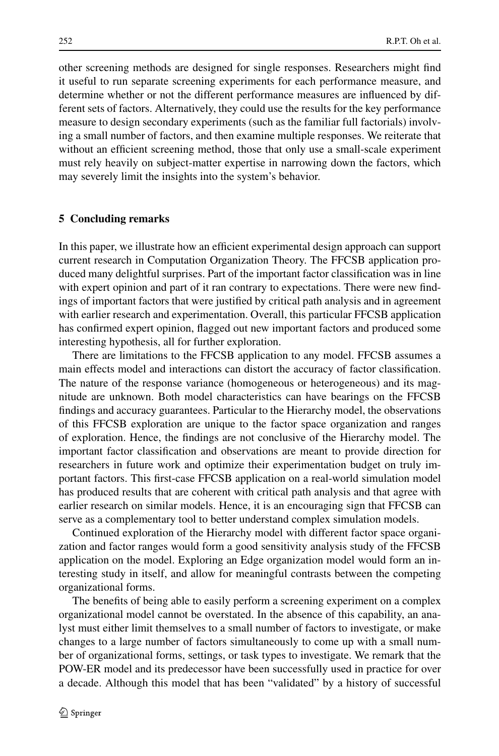other screening methods are designed for single responses. Researchers might find it useful to run separate screening experiments for each performance measure, and determine whether or not the different performance measures are influenced by different sets of factors. Alternatively, they could use the results for the key performance measure to design secondary experiments (such as the familiar full factorials) involving a small number of factors, and then examine multiple responses. We reiterate that without an efficient screening method, those that only use a small-scale experiment must rely heavily on subject-matter expertise in narrowing down the factors, which may severely limit the insights into the system's behavior.

#### **5 Concluding remarks**

In this paper, we illustrate how an efficient experimental design approach can support current research in Computation Organization Theory. The FFCSB application produced many delightful surprises. Part of the important factor classification was in line with expert opinion and part of it ran contrary to expectations. There were new findings of important factors that were justified by critical path analysis and in agreement with earlier research and experimentation. Overall, this particular FFCSB application has confirmed expert opinion, flagged out new important factors and produced some interesting hypothesis, all for further exploration.

There are limitations to the FFCSB application to any model. FFCSB assumes a main effects model and interactions can distort the accuracy of factor classification. The nature of the response variance (homogeneous or heterogeneous) and its magnitude are unknown. Both model characteristics can have bearings on the FFCSB findings and accuracy guarantees. Particular to the Hierarchy model, the observations of this FFCSB exploration are unique to the factor space organization and ranges of exploration. Hence, the findings are not conclusive of the Hierarchy model. The important factor classification and observations are meant to provide direction for researchers in future work and optimize their experimentation budget on truly important factors. This first-case FFCSB application on a real-world simulation model has produced results that are coherent with critical path analysis and that agree with earlier research on similar models. Hence, it is an encouraging sign that FFCSB can serve as a complementary tool to better understand complex simulation models.

Continued exploration of the Hierarchy model with different factor space organization and factor ranges would form a good sensitivity analysis study of the FFCSB application on the model. Exploring an Edge organization model would form an interesting study in itself, and allow for meaningful contrasts between the competing organizational forms.

The benefits of being able to easily perform a screening experiment on a complex organizational model cannot be overstated. In the absence of this capability, an analyst must either limit themselves to a small number of factors to investigate, or make changes to a large number of factors simultaneously to come up with a small number of organizational forms, settings, or task types to investigate. We remark that the POW-ER model and its predecessor have been successfully used in practice for over a decade. Although this model that has been "validated" by a history of successful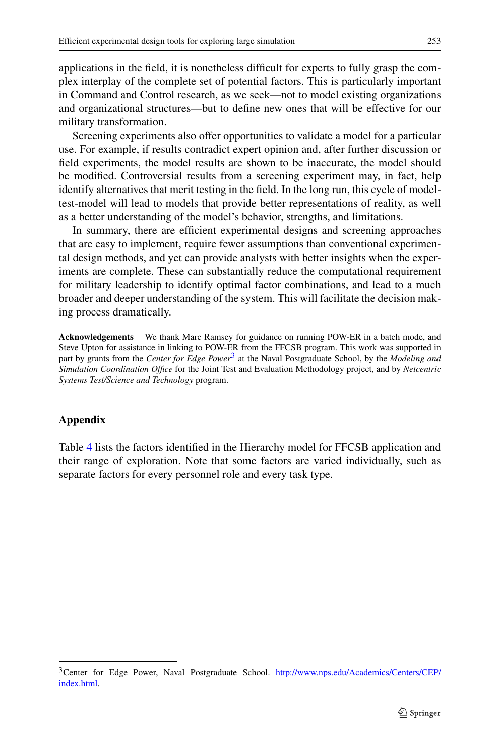<span id="page-17-0"></span>applications in the field, it is nonetheless difficult for experts to fully grasp the complex interplay of the complete set of potential factors. This is particularly important in Command and Control research, as we seek—not to model existing organizations and organizational structures—but to define new ones that will be effective for our military transformation.

Screening experiments also offer opportunities to validate a model for a particular use. For example, if results contradict expert opinion and, after further discussion or field experiments, the model results are shown to be inaccurate, the model should be modified. Controversial results from a screening experiment may, in fact, help identify alternatives that merit testing in the field. In the long run, this cycle of modeltest-model will lead to models that provide better representations of reality, as well as a better understanding of the model's behavior, strengths, and limitations.

In summary, there are efficient experimental designs and screening approaches that are easy to implement, require fewer assumptions than conventional experimental design methods, and yet can provide analysts with better insights when the experiments are complete. These can substantially reduce the computational requirement for military leadership to identify optimal factor combinations, and lead to a much broader and deeper understanding of the system. This will facilitate the decision making process dramatically.

**Acknowledgements** We thank Marc Ramsey for guidance on running POW-ER in a batch mode, and Steve Upton for assistance in linking to POW-ER from the FFCSB program. This work was supported in part by grants from the *Center for Edge Power*<sup>3</sup> at the Naval Postgraduate School, by the *Modeling and Simulation Coordination Office* for the Joint Test and Evaluation Methodology project, and by *Netcentric Systems Test/Science and Technology* program.

# **Appendix**

Table [4](#page-18-0) lists the factors identified in the Hierarchy model for FFCSB application and their range of exploration. Note that some factors are varied individually, such as separate factors for every personnel role and every task type.

<sup>3</sup>Center for Edge Power, Naval Postgraduate School. [http://www.nps.edu/Academics/Centers/CEP/](http://www.nps.edu/Academics/Centers/CEP/index.html) [index.html](http://www.nps.edu/Academics/Centers/CEP/index.html).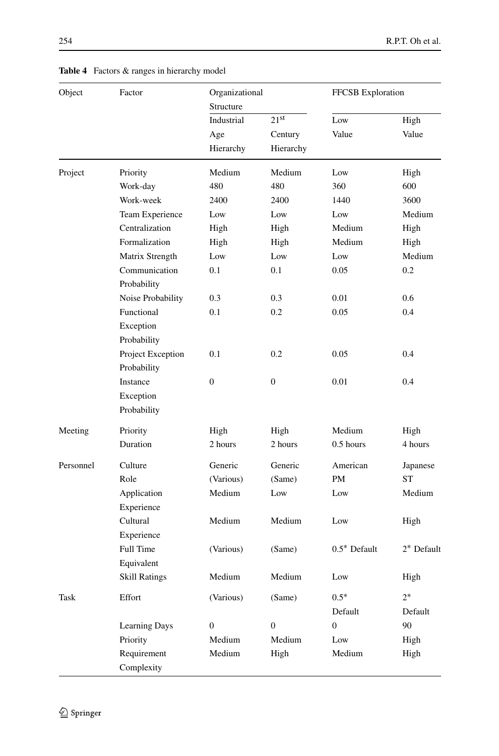| Object    | Factor                               | Organizational<br>Structure    |                                          | <b>FFCSB</b> Exploration |                  |
|-----------|--------------------------------------|--------------------------------|------------------------------------------|--------------------------|------------------|
|           |                                      | Industrial<br>Age<br>Hierarchy | 21 <sup>st</sup><br>Century<br>Hierarchy | Low<br>Value             | High<br>Value    |
| Project   | Priority                             | Medium                         | Medium                                   | Low                      | High             |
|           | Work-day                             | 480                            | 480                                      | 360                      | 600              |
|           | Work-week                            | 2400                           | 2400                                     | 1440                     | 3600             |
|           | Team Experience                      | Low                            | Low                                      | Low                      | Medium           |
|           | Centralization                       | High                           | High                                     | Medium                   | High             |
|           | Formalization                        | High                           | High                                     | Medium                   | High             |
|           | Matrix Strength                      | Low                            | Low                                      | Low                      | Medium           |
|           | Communication                        | 0.1                            | 0.1                                      | 0.05                     | 0.2              |
|           | Probability                          | 0.3                            | 0.3                                      | 0.01                     | 0.6              |
|           | Noise Probability<br>Functional      |                                | 0.2                                      | 0.05                     | 0.4              |
|           | Exception<br>Probability             | 0.1                            |                                          |                          |                  |
|           | Project Exception<br>Probability     | 0.1                            | 0.2                                      | 0.05                     | 0.4              |
|           | Instance<br>Exception<br>Probability | $\overline{0}$                 | $\overline{0}$                           | 0.01                     | 0.4              |
| Meeting   | Priority                             | High                           | High                                     | Medium                   | High             |
|           | Duration                             | 2 hours                        | 2 hours                                  | $0.5$ hours              | 4 hours          |
| Personnel | Culture                              | Generic                        | Generic                                  | American                 | Japanese         |
|           | Role                                 | (Various)                      | (Same)                                   | PM                       | <b>ST</b>        |
|           | Application<br>Experience            | Medium                         | Low                                      | Low                      | Medium           |
|           | Cultural<br>Experience               | Medium                         | Medium                                   | Low                      | High             |
|           | Full Time<br>Equivalent              | (Various)                      | (Same)                                   | $0.5*$ Default           | $2*$ Default     |
|           | <b>Skill Ratings</b>                 | Medium                         | Medium                                   | Low                      | High             |
| Task      | Effort                               | (Various)                      | (Same)                                   | $0.5*$<br>Default        | $2^*$<br>Default |
|           | Learning Days                        | $\boldsymbol{0}$               | $\boldsymbol{0}$                         | $\mathbf{0}$             | 90               |
|           | Priority                             | Medium                         | Medium                                   | Low                      | High             |
|           | Requirement<br>Complexity            | Medium                         | High                                     | Medium                   | High             |

<span id="page-18-0"></span>**Table 4** Factors & ranges in hierarchy model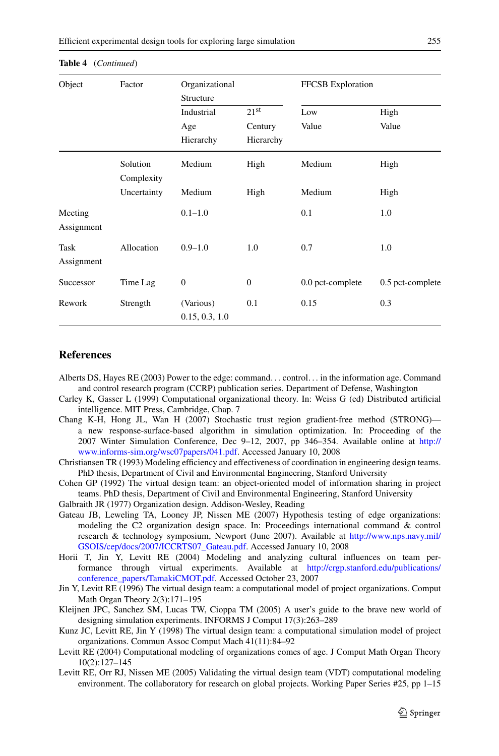| Object                | Factor                 | Organizational<br>Structure    |                                   |                  | <b>FFCSB</b> Exploration |  |
|-----------------------|------------------------|--------------------------------|-----------------------------------|------------------|--------------------------|--|
|                       |                        | Industrial<br>Age<br>Hierarchy | $21^{st}$<br>Century<br>Hierarchy | Low<br>Value     | High<br>Value            |  |
|                       | Solution<br>Complexity | Medium                         | High                              | Medium           | High                     |  |
|                       | Uncertainty            | Medium                         | High                              | Medium           | High                     |  |
| Meeting<br>Assignment |                        | $0.1 - 1.0$                    |                                   | 0.1              | 1.0                      |  |
| Task<br>Assignment    | Allocation             | $0.9 - 1.0$                    | 1.0                               | 0.7              | 1.0                      |  |
| Successor             | Time Lag               | $\mathbf{0}$                   | $\mathbf{0}$                      | 0.0 pct-complete | 0.5 pct-complete         |  |
| Rework                | Strength               | (Various)<br>0.15, 0.3, 1.0    | 0.1                               | 0.15             | 0.3                      |  |

#### <span id="page-19-0"></span>**Table 4** (*Continued*)

#### **References**

- Alberts DS, Hayes RE (2003) Power to the edge: command*...* control*...* in the information age. Command and control research program (CCRP) publication series. Department of Defense, Washington
- Carley K, Gasser L (1999) Computational organizational theory. In: Weiss G (ed) Distributed artificial intelligence. MIT Press, Cambridge, Chap. 7
- Chang K-H, Hong JL, Wan H (2007) Stochastic trust region gradient-free method (STRONG) a new response-surface-based algorithm in simulation optimization. In: Proceeding of the 2007 Winter Simulation Conference, Dec 9–12, 2007, pp 346–354. Available online at [http://](http://www.informs-sim.org/wsc07papers/041.pdf) [www.informs-sim.org/wsc07papers/041.pdf](http://www.informs-sim.org/wsc07papers/041.pdf). Accessed January 10, 2008
- Christiansen TR (1993) Modeling efficiency and effectiveness of coordination in engineering design teams. PhD thesis, Department of Civil and Environmental Engineering, Stanford University
- Cohen GP (1992) The virtual design team: an object-oriented model of information sharing in project teams. PhD thesis, Department of Civil and Environmental Engineering, Stanford University
- Galbraith JR (1977) Organization design. Addison-Wesley, Reading
- Gateau JB, Leweling TA, Looney JP, Nissen ME (2007) Hypothesis testing of edge organizations: modeling the C2 organization design space. In: Proceedings international command & control research & technology symposium, Newport (June 2007). Available at [http://www.nps.navy.mil/](http://www.nps.navy.mil/GSOIS/cep/docs/2007/ICCRTS07_Gateau.pdf) [GSOIS/cep/docs/2007/ICCRTS07\\_Gateau.pdf.](http://www.nps.navy.mil/GSOIS/cep/docs/2007/ICCRTS07_Gateau.pdf) Accessed January 10, 2008
- Horii T, Jin Y, Levitt RE (2004) Modeling and analyzing cultural influences on team performance through virtual experiments. Available at [http://crgp.stanford.edu/publications/](http://crgp.stanford.edu/publications/conference_papers/TamakiCMOT.pdf) [conference\\_papers/TamakiCMOT.pdf](http://crgp.stanford.edu/publications/conference_papers/TamakiCMOT.pdf). Accessed October 23, 2007
- Jin Y, Levitt RE (1996) The virtual design team: a computational model of project organizations. Comput Math Organ Theory 2(3):171–195
- Kleijnen JPC, Sanchez SM, Lucas TW, Cioppa TM (2005) A user's guide to the brave new world of designing simulation experiments. INFORMS J Comput 17(3):263–289
- Kunz JC, Levitt RE, Jin Y (1998) The virtual design team: a computational simulation model of project organizations. Commun Assoc Comput Mach 41(11):84–92
- Levitt RE (2004) Computational modeling of organizations comes of age. J Comput Math Organ Theory 10(2):127–145
- Levitt RE, Orr RJ, Nissen ME (2005) Validating the virtual design team (VDT) computational modeling environment. The collaboratory for research on global projects. Working Paper Series #25, pp 1–15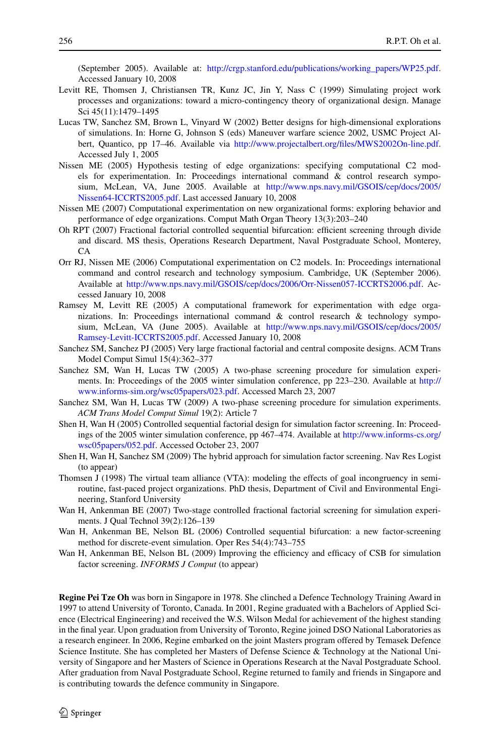<span id="page-20-0"></span>(September 2005). Available at: [http://crgp.stanford.edu/publications/working\\_papers/WP25.pdf.](http://crgp.stanford.edu/publications/working_papers/WP25.pdf) Accessed January 10, 2008

- Levitt RE, Thomsen J, Christiansen TR, Kunz JC, Jin Y, Nass C (1999) Simulating project work processes and organizations: toward a micro-contingency theory of organizational design. Manage Sci 45(11):1479–1495
- Lucas TW, Sanchez SM, Brown L, Vinyard W (2002) Better designs for high-dimensional explorations of simulations. In: Horne G, Johnson S (eds) Maneuver warfare science 2002, USMC Project Albert, Quantico, pp 17–46. Available via [http://www.projectalbert.org/files/MWS2002On-line.pdf.](http://www.projectalbert.org/files/MWS2002On-line.pdf) Accessed July 1, 2005
- Nissen ME (2005) Hypothesis testing of edge organizations: specifying computational C2 models for experimentation. In: Proceedings international command & control research symposium, McLean, VA, June 2005. Available at [http://www.nps.navy.mil/GSOIS/cep/docs/2005/](http://www.nps.navy.mil/GSOIS/cep/docs/2005/Nissen64-ICCRTS2005.pdf) [Nissen64-ICCRTS2005.pdf](http://www.nps.navy.mil/GSOIS/cep/docs/2005/Nissen64-ICCRTS2005.pdf). Last accessed January 10, 2008
- Nissen ME (2007) Computational experimentation on new organizational forms: exploring behavior and performance of edge organizations. Comput Math Organ Theory 13(3):203–240
- Oh RPT (2007) Fractional factorial controlled sequential bifurcation: efficient screening through divide and discard. MS thesis, Operations Research Department, Naval Postgraduate School, Monterey,  $\Gamma$ A
- Orr RJ, Nissen ME (2006) Computational experimentation on C2 models. In: Proceedings international command and control research and technology symposium. Cambridge, UK (September 2006). Available at <http://www.nps.navy.mil/GSOIS/cep/docs/2006/Orr-Nissen057-ICCRTS2006.pdf>. Accessed January 10, 2008
- Ramsey M, Levitt RE (2005) A computational framework for experimentation with edge organizations. In: Proceedings international command  $\&$  control research  $\&$  technology symposium, McLean, VA (June 2005). Available at [http://www.nps.navy.mil/GSOIS/cep/docs/2005/](http://www.nps.navy.mil/GSOIS/cep/docs/2005/Ramsey-Levitt-ICCRTS2005.pdf) [Ramsey-Levitt-ICCRTS2005.pdf](http://www.nps.navy.mil/GSOIS/cep/docs/2005/Ramsey-Levitt-ICCRTS2005.pdf). Accessed January 10, 2008
- Sanchez SM, Sanchez PJ (2005) Very large fractional factorial and central composite designs. ACM Trans Model Comput Simul 15(4):362–377
- Sanchez SM, Wan H, Lucas TW (2005) A two-phase screening procedure for simulation experiments. In: Proceedings of the 2005 winter simulation conference, pp 223–230. Available at [http://](http://www.informs-sim.org/wsc05papers/023.pdf) [www.informs-sim.org/wsc05papers/023.pdf](http://www.informs-sim.org/wsc05papers/023.pdf). Accessed March 23, 2007
- Sanchez SM, Wan H, Lucas TW (2009) A two-phase screening procedure for simulation experiments. *ACM Trans Model Comput Simul* 19(2): Article 7
- Shen H, Wan H (2005) Controlled sequential factorial design for simulation factor screening. In: Proceedings of the 2005 winter simulation conference, pp 467–474. Available at [http://www.informs-cs.org/](http://www.informs-cs.org/wsc05papers/052.pdf) [wsc05papers/052.pdf.](http://www.informs-cs.org/wsc05papers/052.pdf) Accessed October 23, 2007
- Shen H, Wan H, Sanchez SM (2009) The hybrid approach for simulation factor screening. Nav Res Logist (to appear)
- Thomsen J (1998) The virtual team alliance (VTA): modeling the effects of goal incongruency in semiroutine, fast-paced project organizations. PhD thesis, Department of Civil and Environmental Engineering, Stanford University
- Wan H, Ankenman BE (2007) Two-stage controlled fractional factorial screening for simulation experiments. J Qual Technol 39(2):126–139
- Wan H, Ankenman BE, Nelson BL (2006) Controlled sequential bifurcation: a new factor-screening method for discrete-event simulation. Oper Res 54(4):743–755
- Wan H, Ankenman BE, Nelson BL (2009) Improving the efficiency and efficacy of CSB for simulation factor screening. *INFORMS J Comput* (to appear)

**Regine Pei Tze Oh** was born in Singapore in 1978. She clinched a Defence Technology Training Award in 1997 to attend University of Toronto, Canada. In 2001, Regine graduated with a Bachelors of Applied Science (Electrical Engineering) and received the W.S. Wilson Medal for achievement of the highest standing in the final year. Upon graduation from University of Toronto, Regine joined DSO National Laboratories as a research engineer. In 2006, Regine embarked on the joint Masters program offered by Temasek Defence Science Institute. She has completed her Masters of Defense Science & Technology at the National University of Singapore and her Masters of Science in Operations Research at the Naval Postgraduate School. After graduation from Naval Postgraduate School, Regine returned to family and friends in Singapore and is contributing towards the defence community in Singapore.